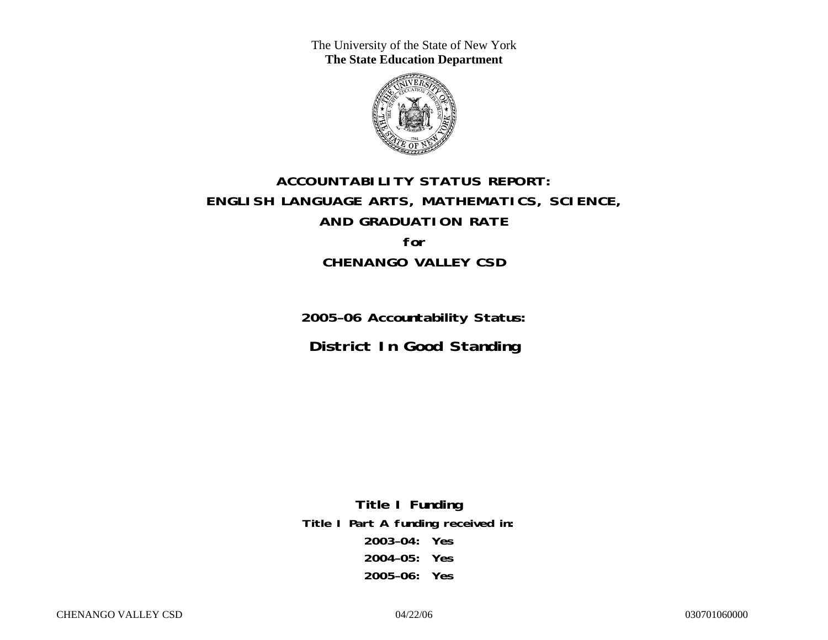The University of the State of New York **The State Education Department** 



# **ACCOUNTABILITY STATUS REPORT: ENGLISH LANGUAGE ARTS, MATHEMATICS, SCIENCE, AND GRADUATION RATE for CHENANGO VALLEY CSD**

**2005–06 Accountability Status: District In Good Standing** 

**Title I Funding Title I Part A funding received in: 2003–04: Yes 2004–05: Yes 2005–06: Yes**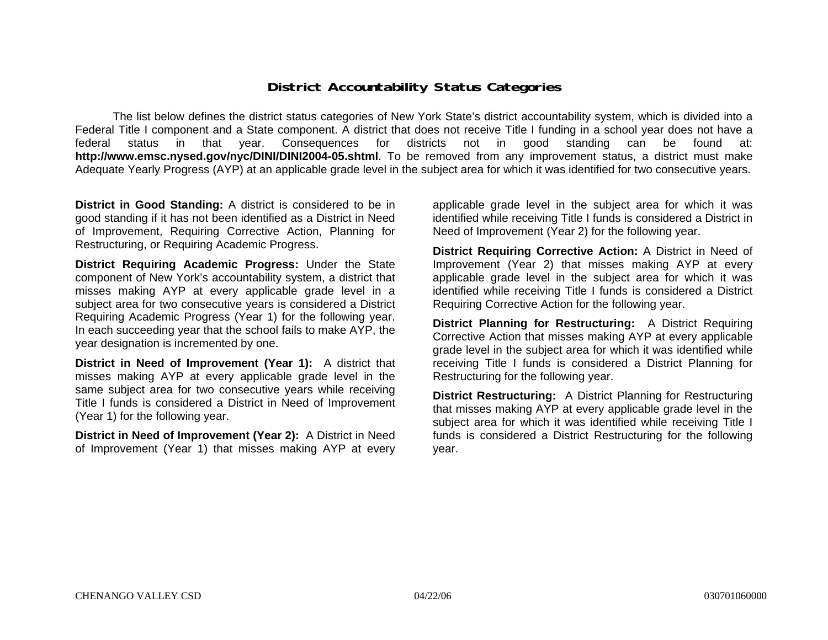### **District Accountability Status Categories**

The list below defines the district status categories of New York State's district accountability system, which is divided into a Federal Title I component and a State component. A district that does not receive Title I funding in a school year does not have a federal status in that year. Consequences for districts not in good standing can be found at: **http://www.emsc.nysed.gov/nyc/DINI/DINI2004-05.shtml**. To be removed from any improvement status, a district must make Adequate Yearly Progress (AYP) at an applicable grade level in the subject area for which it was identified for two consecutive years.

**District in Good Standing:** A district is considered to be in good standing if it has not been identified as a District in Need of Improvement, Requiring Corrective Action, Planning for Restructuring, or Requiring Academic Progress.

**District Requiring Academic Progress:** Under the State component of New York's accountability system, a district that misses making AYP at every applicable grade level in a subject area for two consecutive years is considered a District Requiring Academic Progress (Year 1) for the following year. In each succeeding year that the school fails to make AYP, the year designation is incremented by one.

**District in Need of Improvement (Year 1):** A district that misses making AYP at every applicable grade level in the same subject area for two consecutive years while receiving Title I funds is considered a District in Need of Improvement (Year 1) for the following year.

**District in Need of Improvement (Year 2):** A District in Need of Improvement (Year 1) that misses making AYP at every

applicable grade level in the subject area for which it was identified while receiving Title I funds is considered a District in Need of Improvement (Year 2) for the following year.

**District Requiring Corrective Action:** A District in Need of Improvement (Year 2) that misses making AYP at every applicable grade level in the subject area for which it was identified while receiving Title I funds is considered a District Requiring Corrective Action for the following year.

**District Planning for Restructuring:** A District Requiring Corrective Action that misses making AYP at every applicable grade level in the subject area for which it was identified while receiving Title I funds is considered a District Planning for Restructuring for the following year.

**District Restructuring:** A District Planning for Restructuring that misses making AYP at every applicable grade level in the subject area for which it was identified while receiving Title I funds is considered a District Restructuring for the following year.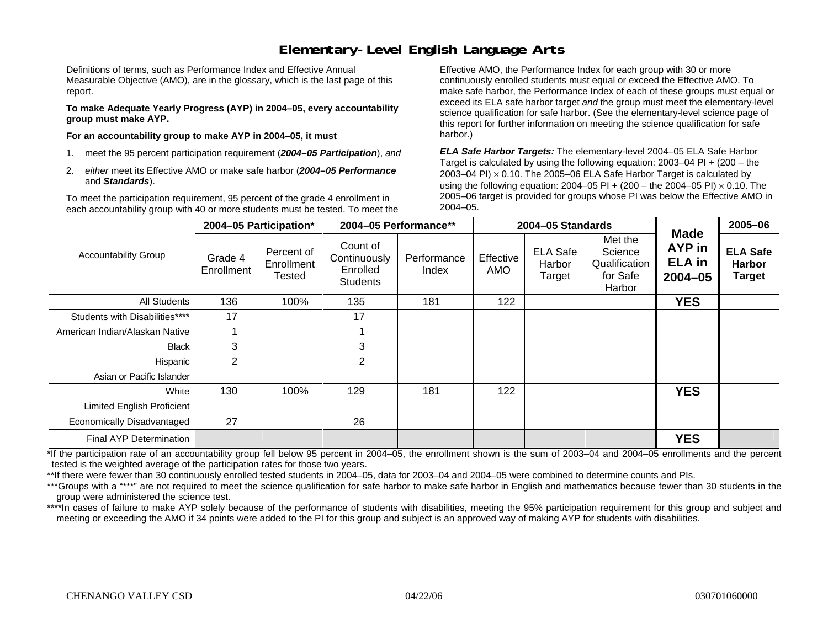### **Elementary-Level English Language Arts**

Definitions of terms, such as Performance Index and Effective Annual Measurable Objective (AMO), are in the glossary, which is the last page of this report.

**To make Adequate Yearly Progress (AYP) in 2004–05, every accountability group must make AYP.** 

**For an accountability group to make AYP in 2004–05, it must** 

- 1. meet the 95 percent participation requirement (*2004–05 Participation*), *and*
- 2. *either* meet its Effective AMO *or* make safe harbor (*2004–05 Performance*  and *Standards*).

To meet the participation requirement, 95 percent of the grade 4 enrollment in each accountability group with 40 or more students must be tested. To meet the

Effective AMO, the Performance Index for each group with 30 or more continuously enrolled students must equal or exceed the Effective AMO. To make safe harbor, the Performance Index of each of these groups must equal or exceed its ELA safe harbor target *and* the group must meet the elementary-level science qualification for safe harbor. (See the elementary-level science page of this report for further information on meeting the science qualification for safe harbor.)

*ELA Safe Harbor Targets:* The elementary-level 2004–05 ELA Safe Harbor Target is calculated by using the following equation: 2003–04 PI + (200 – the 2003–04 PI)  $\times$  0.10. The 2005–06 ELA Safe Harbor Target is calculated by using the following equation: 2004–05 PI + (200 – the 2004–05 PI) × 0.10. The 2005–06 target is provided for groups whose PI was below the Effective AMO in 2004–05.

|                                |                       | 2004-05 Participation*                    | 2004-05 Performance**                                   |                      |                  | 2004-05 Standards                   |                                                           |                                                       | 2005-06                                           |
|--------------------------------|-----------------------|-------------------------------------------|---------------------------------------------------------|----------------------|------------------|-------------------------------------|-----------------------------------------------------------|-------------------------------------------------------|---------------------------------------------------|
| <b>Accountability Group</b>    | Grade 4<br>Enrollment | Percent of<br>Enrollment<br><b>Tested</b> | Count of<br>Continuously<br>Enrolled<br><b>Students</b> | Performance<br>Index | Effective<br>AMO | <b>ELA Safe</b><br>Harbor<br>Target | Met the<br>Science<br>Qualification<br>for Safe<br>Harbor | <b>Made</b><br>AYP in<br><b>ELA</b> in<br>$2004 - 05$ | <b>ELA Safe</b><br><b>Harbor</b><br><b>Target</b> |
| All Students                   | 136                   | 100%                                      | 135                                                     | 181                  | 122              |                                     |                                                           | <b>YES</b>                                            |                                                   |
| Students with Disabilities**** | 17                    |                                           | 17                                                      |                      |                  |                                     |                                                           |                                                       |                                                   |
| American Indian/Alaskan Native |                       |                                           |                                                         |                      |                  |                                     |                                                           |                                                       |                                                   |
| Black                          | 3                     |                                           | 3                                                       |                      |                  |                                     |                                                           |                                                       |                                                   |
| Hispanic                       | $\overline{2}$        |                                           | $\overline{2}$                                          |                      |                  |                                     |                                                           |                                                       |                                                   |
| Asian or Pacific Islander      |                       |                                           |                                                         |                      |                  |                                     |                                                           |                                                       |                                                   |
| White                          | 130                   | 100%                                      | 129                                                     | 181                  | 122              |                                     |                                                           | <b>YES</b>                                            |                                                   |
| Limited English Proficient     |                       |                                           |                                                         |                      |                  |                                     |                                                           |                                                       |                                                   |
| Economically Disadvantaged     | 27                    |                                           | 26                                                      |                      |                  |                                     |                                                           |                                                       |                                                   |
| <b>Final AYP Determination</b> |                       |                                           |                                                         |                      |                  |                                     |                                                           | <b>YES</b>                                            |                                                   |

\*If the participation rate of an accountability group fell below 95 percent in 2004–05, the enrollment shown is the sum of 2003–04 and 2004–05 enrollments and the percent tested is the weighted average of the participation rates for those two years.

\*\*If there were fewer than 30 continuously enrolled tested students in 2004–05, data for 2003–04 and 2004–05 were combined to determine counts and PIs.

\*\*\*Groups with a "\*\*\*" are not required to meet the science qualification for safe harbor to make safe harbor in English and mathematics because fewer than 30 students in the group were administered the science test.

\*\*\*\*In cases of failure to make AYP solely because of the performance of students with disabilities, meeting the 95% participation requirement for this group and subject and meeting or exceeding the AMO if 34 points were added to the PI for this group and subject is an approved way of making AYP for students with disabilities.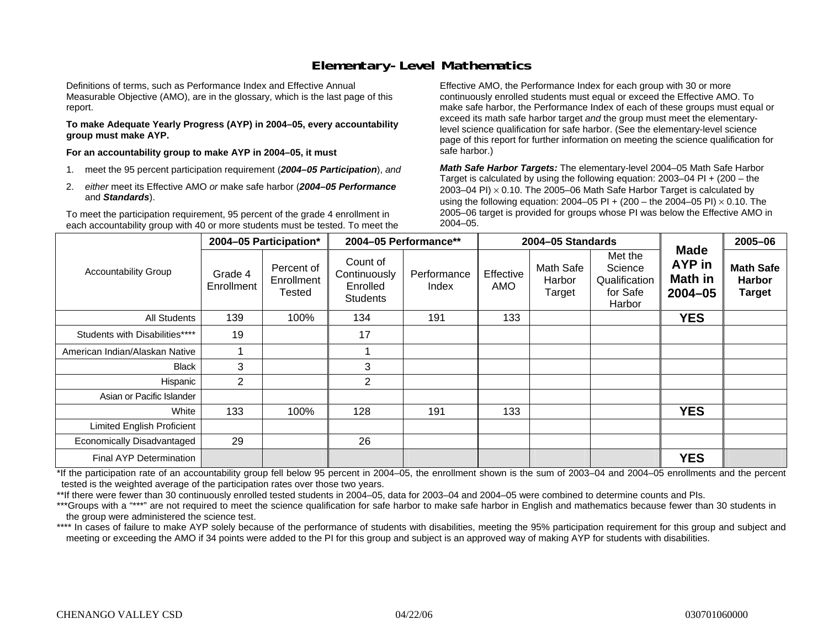### **Elementary-Level Mathematics**

Definitions of terms, such as Performance Index and Effective Annual Measurable Objective (AMO), are in the glossary, which is the last page of this report.

**To make Adequate Yearly Progress (AYP) in 2004–05, every accountability group must make AYP.** 

**For an accountability group to make AYP in 2004–05, it must** 

- 1. meet the 95 percent participation requirement (*2004–05 Participation*), *and*
- 2. *either* meet its Effective AMO *or* make safe harbor (*2004–05 Performance*  and *Standards*).

To meet the participation requirement, 95 percent of the grade 4 enrollment in each accountability group with 40 or more students must be tested. To meet the

Effective AMO, the Performance Index for each group with 30 or more continuously enrolled students must equal or exceed the Effective AMO. To make safe harbor, the Performance Index of each of these groups must equal or exceed its math safe harbor target *and* the group must meet the elementarylevel science qualification for safe harbor. (See the elementary-level science page of this report for further information on meeting the science qualification for safe harbor.)

*Math Safe Harbor Targets:* The elementary-level 2004–05 Math Safe Harbor Target is calculated by using the following equation: 2003–04 PI + (200 – the 2003–04 PI) <sup>×</sup> 0.10. The 2005–06 Math Safe Harbor Target is calculated by using the following equation: 2004–05 PI + (200 – the 2004–05 PI) × 0.10. The 2005–06 target is provided for groups whose PI was below the Effective AMO in 2004–05.

|                                   |                       | 2004-05 Participation*             |                                                         | 2004-05 Performance** |                  | 2004-05 Standards             |                                                           |                                                        | 2005-06                                            |
|-----------------------------------|-----------------------|------------------------------------|---------------------------------------------------------|-----------------------|------------------|-------------------------------|-----------------------------------------------------------|--------------------------------------------------------|----------------------------------------------------|
| <b>Accountability Group</b>       | Grade 4<br>Enrollment | Percent of<br>Enrollment<br>Tested | Count of<br>Continuously<br>Enrolled<br><b>Students</b> | Performance<br>Index  | Effective<br>AMO | Math Safe<br>Harbor<br>Target | Met the<br>Science<br>Qualification<br>for Safe<br>Harbor | <b>Made</b><br>AYP in<br><b>Math in</b><br>$2004 - 05$ | <b>Math Safe</b><br><b>Harbor</b><br><b>Target</b> |
| <b>All Students</b>               | 139                   | 100%                               | 134                                                     | 191                   | 133              |                               |                                                           | <b>YES</b>                                             |                                                    |
| Students with Disabilities****    | 19                    |                                    | 17                                                      |                       |                  |                               |                                                           |                                                        |                                                    |
| American Indian/Alaskan Native    | ٠                     |                                    |                                                         |                       |                  |                               |                                                           |                                                        |                                                    |
| <b>Black</b>                      | 3                     |                                    | 3                                                       |                       |                  |                               |                                                           |                                                        |                                                    |
| Hispanic                          | $\overline{2}$        |                                    | $\overline{2}$                                          |                       |                  |                               |                                                           |                                                        |                                                    |
| Asian or Pacific Islander         |                       |                                    |                                                         |                       |                  |                               |                                                           |                                                        |                                                    |
| White                             | 133                   | 100%                               | 128                                                     | 191                   | 133              |                               |                                                           | <b>YES</b>                                             |                                                    |
| <b>Limited English Proficient</b> |                       |                                    |                                                         |                       |                  |                               |                                                           |                                                        |                                                    |
| Economically Disadvantaged        | 29                    |                                    | 26                                                      |                       |                  |                               |                                                           |                                                        |                                                    |
| <b>Final AYP Determination</b>    |                       |                                    |                                                         |                       |                  |                               |                                                           | <b>YES</b>                                             |                                                    |

\*If the participation rate of an accountability group fell below 95 percent in 2004–05, the enrollment shown is the sum of 2003–04 and 2004–05 enrollments and the percent tested is the weighted average of the participation rates over those two years.

\*\*If there were fewer than 30 continuously enrolled tested students in 2004–05, data for 2003–04 and 2004–05 were combined to determine counts and PIs.

\*\*\*Groups with a "\*\*\*" are not required to meet the science qualification for safe harbor to make safe harbor in English and mathematics because fewer than 30 students in the group were administered the science test.

\*\*\*\* In cases of failure to make AYP solely because of the performance of students with disabilities, meeting the 95% participation requirement for this group and subject and meeting or exceeding the AMO if 34 points were added to the PI for this group and subject is an approved way of making AYP for students with disabilities.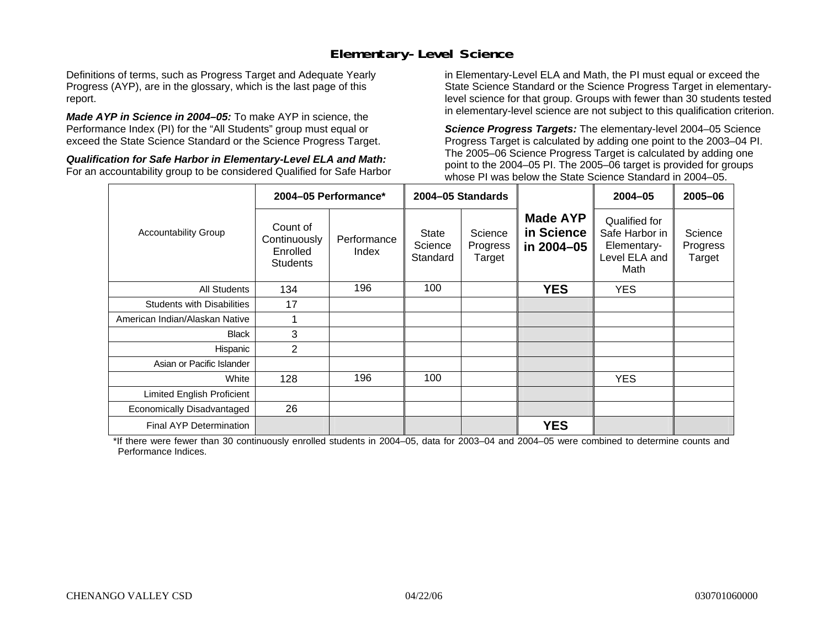### **Elementary-Level Science**

Definitions of terms, such as Progress Target and Adequate Yearly Progress (AYP), are in the glossary, which is the last page of this report.

*Made AYP in Science in 2004–05:* To make AYP in science, the Performance Index (PI) for the "All Students" group must equal or exceed the State Science Standard or the Science Progress Target.

*Qualification for Safe Harbor in Elementary-Level ELA and Math:* For an accountability group to be considered Qualified for Safe Harbor

in Elementary-Level ELA and Math, the PI must equal or exceed the State Science Standard or the Science Progress Target in elementarylevel science for that group. Groups with fewer than 30 students tested in elementary-level science are not subject to this qualification criterion.

*Science Progress Targets:* The elementary-level 2004–05 Science Progress Target is calculated by adding one point to the 2003–04 PI. The 2005–06 Science Progress Target is calculated by adding one point to the 2004–05 PI. The 2005–06 target is provided for groups whose PI was below the State Science Standard in 2004–05.

|                                   |                                                         | 2004-05 Performance* |                                     | 2004-05 Standards             |                                             | $2004 - 05$                                                             | $2005 - 06$                   |
|-----------------------------------|---------------------------------------------------------|----------------------|-------------------------------------|-------------------------------|---------------------------------------------|-------------------------------------------------------------------------|-------------------------------|
| <b>Accountability Group</b>       | Count of<br>Continuously<br>Enrolled<br><b>Students</b> | Performance<br>Index | <b>State</b><br>Science<br>Standard | Science<br>Progress<br>Target | <b>Made AYP</b><br>in Science<br>in 2004-05 | Qualified for<br>Safe Harbor in<br>Elementary-<br>Level ELA and<br>Math | Science<br>Progress<br>Target |
| <b>All Students</b>               | 134                                                     | 196                  | 100                                 |                               | <b>YES</b>                                  | <b>YES</b>                                                              |                               |
| <b>Students with Disabilities</b> | 17                                                      |                      |                                     |                               |                                             |                                                                         |                               |
| American Indian/Alaskan Native    |                                                         |                      |                                     |                               |                                             |                                                                         |                               |
| <b>Black</b>                      | 3                                                       |                      |                                     |                               |                                             |                                                                         |                               |
| Hispanic                          | 2                                                       |                      |                                     |                               |                                             |                                                                         |                               |
| Asian or Pacific Islander         |                                                         |                      |                                     |                               |                                             |                                                                         |                               |
| White                             | 128                                                     | 196                  | 100                                 |                               |                                             | <b>YES</b>                                                              |                               |
| Limited English Proficient        |                                                         |                      |                                     |                               |                                             |                                                                         |                               |
| Economically Disadvantaged        | 26                                                      |                      |                                     |                               |                                             |                                                                         |                               |
| <b>Final AYP Determination</b>    |                                                         |                      |                                     |                               | <b>YES</b>                                  |                                                                         |                               |

\*If there were fewer than 30 continuously enrolled students in 2004–05, data for 2003–04 and 2004–05 were combined to determine counts and Performance Indices.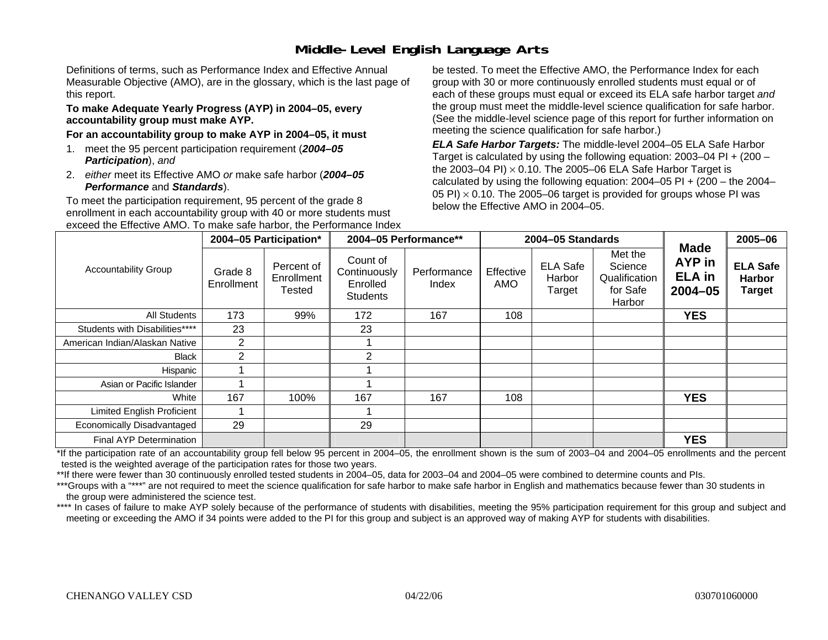# **Middle-Level English Language Arts**

Definitions of terms, such as Performance Index and Effective Annual Measurable Objective (AMO), are in the glossary, which is the last page of this report.

#### **To make Adequate Yearly Progress (AYP) in 2004–05, every accountability group must make AYP.**

#### **For an accountability group to make AYP in 2004–05, it must**

- 1. meet the 95 percent participation requirement (*2004–05 Participation*), *and*
- 2. *either* meet its Effective AMO *or* make safe harbor (*2004–05 Performance* and *Standards*).

To meet the participation requirement, 95 percent of the grade 8 enrollment in each accountability group with 40 or more students must exceed the Effective AMO. To make safe harbor, the Performance Index be tested. To meet the Effective AMO, the Performance Index for each group with 30 or more continuously enrolled students must equal or of each of these groups must equal or exceed its ELA safe harbor target *and* the group must meet the middle-level science qualification for safe harbor. (See the middle-level science page of this report for further information on meeting the science qualification for safe harbor.)

*ELA Safe Harbor Targets:* The middle-level 2004–05 ELA Safe Harbor Target is calculated by using the following equation: 2003–04 PI + (200 – the 2003–04 PI) <sup>×</sup> 0.10. The 2005–06 ELA Safe Harbor Target is calculated by using the following equation:  $2004-05$  PI +  $(200 -$  the  $2004-$ 05 PI)  $\times$  0.10. The 2005–06 target is provided for groups whose PI was below the Effective AMO in 2004–05.

|                                |                       | 2004-05 Participation*             |                                                         | 2004-05 Performance** |                  | 2004-05 Standards                   |                                                           |                                                       | 2005-06                                           |
|--------------------------------|-----------------------|------------------------------------|---------------------------------------------------------|-----------------------|------------------|-------------------------------------|-----------------------------------------------------------|-------------------------------------------------------|---------------------------------------------------|
| <b>Accountability Group</b>    | Grade 8<br>Enrollment | Percent of<br>Enrollment<br>Tested | Count of<br>Continuously<br>Enrolled<br><b>Students</b> | Performance<br>Index  | Effective<br>AMO | <b>ELA Safe</b><br>Harbor<br>Target | Met the<br>Science<br>Qualification<br>for Safe<br>Harbor | <b>Made</b><br>AYP in<br><b>ELA</b> in<br>$2004 - 05$ | <b>ELA Safe</b><br><b>Harbor</b><br><b>Target</b> |
| All Students                   | 173                   | 99%                                | 172                                                     | 167                   | 108              |                                     |                                                           | <b>YES</b>                                            |                                                   |
| Students with Disabilities**** | 23                    |                                    | 23                                                      |                       |                  |                                     |                                                           |                                                       |                                                   |
| American Indian/Alaskan Native | $\overline{2}$        |                                    |                                                         |                       |                  |                                     |                                                           |                                                       |                                                   |
| Black                          | $\overline{2}$        |                                    | $\mathbf{2}$                                            |                       |                  |                                     |                                                           |                                                       |                                                   |
| Hispanic                       |                       |                                    |                                                         |                       |                  |                                     |                                                           |                                                       |                                                   |
| Asian or Pacific Islander      |                       |                                    |                                                         |                       |                  |                                     |                                                           |                                                       |                                                   |
| White                          | 167                   | 100%                               | 167                                                     | 167                   | 108              |                                     |                                                           | <b>YES</b>                                            |                                                   |
| Limited English Proficient     |                       |                                    |                                                         |                       |                  |                                     |                                                           |                                                       |                                                   |
| Economically Disadvantaged     | 29                    |                                    | 29                                                      |                       |                  |                                     |                                                           |                                                       |                                                   |
| Final AYP Determination        |                       |                                    |                                                         |                       |                  |                                     |                                                           | <b>YES</b>                                            |                                                   |

\*If the participation rate of an accountability group fell below 95 percent in 2004–05, the enrollment shown is the sum of 2003–04 and 2004–05 enrollments and the percent tested is the weighted average of the participation rates for those two years.

\*\*If there were fewer than 30 continuously enrolled tested students in 2004–05, data for 2003–04 and 2004–05 were combined to determine counts and PIs.

\*\*\*Groups with a "\*\*\*" are not required to meet the science qualification for safe harbor to make safe harbor in English and mathematics because fewer than 30 students in the group were administered the science test.

\*\*\*\* In cases of failure to make AYP solely because of the performance of students with disabilities, meeting the 95% participation requirement for this group and subject and meeting or exceeding the AMO if 34 points were added to the PI for this group and subject is an approved way of making AYP for students with disabilities.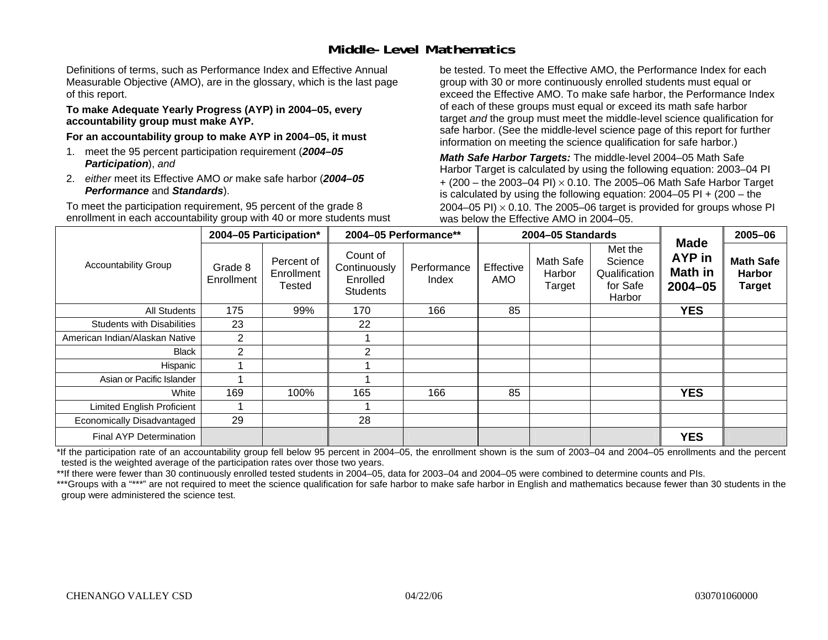### **Middle-Level Mathematics**

Definitions of terms, such as Performance Index and Effective Annual Measurable Objective (AMO), are in the glossary, which is the last page of this report.

#### **To make Adequate Yearly Progress (AYP) in 2004–05, every accountability group must make AYP.**

**For an accountability group to make AYP in 2004–05, it must** 

- 1. meet the 95 percent participation requirement (*2004–05 Participation*), *and*
- 2. *either* meet its Effective AMO *or* make safe harbor (*2004–05 Performance* and *Standards*).

To meet the participation requirement, 95 percent of the grade 8 enrollment in each accountability group with 40 or more students must be tested. To meet the Effective AMO, the Performance Index for each group with 30 or more continuously enrolled students must equal or exceed the Effective AMO. To make safe harbor, the Performance Index of each of these groups must equal or exceed its math safe harbor target *and* the group must meet the middle-level science qualification for safe harbor. (See the middle-level science page of this report for further information on meeting the science qualification for safe harbor.)

*Math Safe Harbor Targets:* The middle-level 2004–05 Math Safe Harbor Target is calculated by using the following equation: 2003–04 PI + (200 – the 2003–04 PI) <sup>×</sup> 0.10. The 2005–06 Math Safe Harbor Target is calculated by using the following equation: 2004–05 PI + (200 – the 2004–05 PI)  $\times$  0.10. The 2005–06 target is provided for groups whose PI was below the Effective AMO in 2004–05.

|                                   |                       | 2004-05 Participation*                    |                                                         | 2004-05 Performance** |                  | 2004-05 Standards             |                                                           | <b>Made</b>                  | 2005-06                                            |
|-----------------------------------|-----------------------|-------------------------------------------|---------------------------------------------------------|-----------------------|------------------|-------------------------------|-----------------------------------------------------------|------------------------------|----------------------------------------------------|
| <b>Accountability Group</b>       | Grade 8<br>Enrollment | Percent of<br>Enrollment<br><b>Tested</b> | Count of<br>Continuously<br>Enrolled<br><b>Students</b> | Performance<br>Index  | Effective<br>AMO | Math Safe<br>Harbor<br>Target | Met the<br>Science<br>Qualification<br>for Safe<br>Harbor | AYP in<br>Math in<br>2004-05 | <b>Math Safe</b><br><b>Harbor</b><br><b>Target</b> |
| <b>All Students</b>               | 175                   | 99%                                       | 170                                                     | 166                   | 85               |                               |                                                           | <b>YES</b>                   |                                                    |
| <b>Students with Disabilities</b> | 23                    |                                           | 22                                                      |                       |                  |                               |                                                           |                              |                                                    |
| American Indian/Alaskan Native    | $\overline{2}$        |                                           |                                                         |                       |                  |                               |                                                           |                              |                                                    |
| <b>Black</b>                      | $\overline{2}$        |                                           | 2                                                       |                       |                  |                               |                                                           |                              |                                                    |
| Hispanic                          |                       |                                           |                                                         |                       |                  |                               |                                                           |                              |                                                    |
| Asian or Pacific Islander         |                       |                                           |                                                         |                       |                  |                               |                                                           |                              |                                                    |
| White                             | 169                   | 100%                                      | 165                                                     | 166                   | 85               |                               |                                                           | <b>YES</b>                   |                                                    |
| Limited English Proficient        |                       |                                           |                                                         |                       |                  |                               |                                                           |                              |                                                    |
| Economically Disadvantaged        | 29                    |                                           | 28                                                      |                       |                  |                               |                                                           |                              |                                                    |
| <b>Final AYP Determination</b>    |                       |                                           |                                                         |                       |                  |                               |                                                           | <b>YES</b>                   |                                                    |

\*If the participation rate of an accountability group fell below 95 percent in 2004–05, the enrollment shown is the sum of 2003–04 and 2004–05 enrollments and the percent tested is the weighted average of the participation rates over those two years.

\*\*If there were fewer than 30 continuously enrolled tested students in 2004–05, data for 2003–04 and 2004–05 were combined to determine counts and PIs.

\*\*\*Groups with a "\*\*\*" are not required to meet the science qualification for safe harbor to make safe harbor in English and mathematics because fewer than 30 students in the group were administered the science test.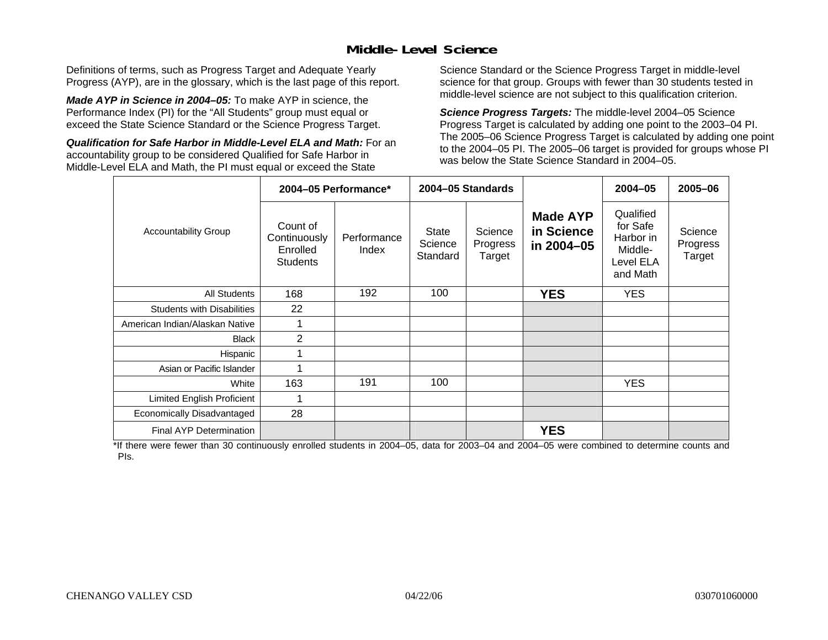### **Middle-Level Science**

Definitions of terms, such as Progress Target and Adequate Yearly Progress (AYP), are in the glossary, which is the last page of this report.

*Made AYP in Science in 2004–05:* To make AYP in science, the Performance Index (PI) for the "All Students" group must equal or exceed the State Science Standard or the Science Progress Target.

*Qualification for Safe Harbor in Middle-Level ELA and Math:* For an accountability group to be considered Qualified for Safe Harbor in Middle-Level ELA and Math, the PI must equal or exceed the State

Science Standard or the Science Progress Target in middle-level science for that group. Groups with fewer than 30 students tested in middle-level science are not subject to this qualification criterion.

*Science Progress Targets:* The middle-level 2004–05 Science Progress Target is calculated by adding one point to the 2003–04 PI. The 2005–06 Science Progress Target is calculated by adding one point to the 2004–05 PI. The 2005–06 target is provided for groups whose PI was below the State Science Standard in 2004–05.

|                                   |                                                         | 2004-05 Performance* |                                     | 2004-05 Standards             |                                             | $2004 - 05$                                                            | 2005-06                       |
|-----------------------------------|---------------------------------------------------------|----------------------|-------------------------------------|-------------------------------|---------------------------------------------|------------------------------------------------------------------------|-------------------------------|
| <b>Accountability Group</b>       | Count of<br>Continuously<br>Enrolled<br><b>Students</b> | Performance<br>Index | <b>State</b><br>Science<br>Standard | Science<br>Progress<br>Target | <b>Made AYP</b><br>in Science<br>in 2004-05 | Qualified<br>for Safe<br>Harbor in<br>Middle-<br>Level ELA<br>and Math | Science<br>Progress<br>Target |
| <b>All Students</b>               | 168                                                     | 192                  | 100                                 |                               | <b>YES</b>                                  | <b>YES</b>                                                             |                               |
| <b>Students with Disabilities</b> | 22                                                      |                      |                                     |                               |                                             |                                                                        |                               |
| American Indian/Alaskan Native    | 1                                                       |                      |                                     |                               |                                             |                                                                        |                               |
| <b>Black</b>                      | 2                                                       |                      |                                     |                               |                                             |                                                                        |                               |
| Hispanic                          | 1                                                       |                      |                                     |                               |                                             |                                                                        |                               |
| Asian or Pacific Islander         | 4                                                       |                      |                                     |                               |                                             |                                                                        |                               |
| White                             | 163                                                     | 191                  | 100                                 |                               |                                             | <b>YES</b>                                                             |                               |
| Limited English Proficient        | 1                                                       |                      |                                     |                               |                                             |                                                                        |                               |
| Economically Disadvantaged        | 28                                                      |                      |                                     |                               |                                             |                                                                        |                               |
| <b>Final AYP Determination</b>    |                                                         |                      |                                     |                               | <b>YES</b>                                  |                                                                        |                               |

\*If there were fewer than 30 continuously enrolled students in 2004–05, data for 2003–04 and 2004–05 were combined to determine counts and PIs.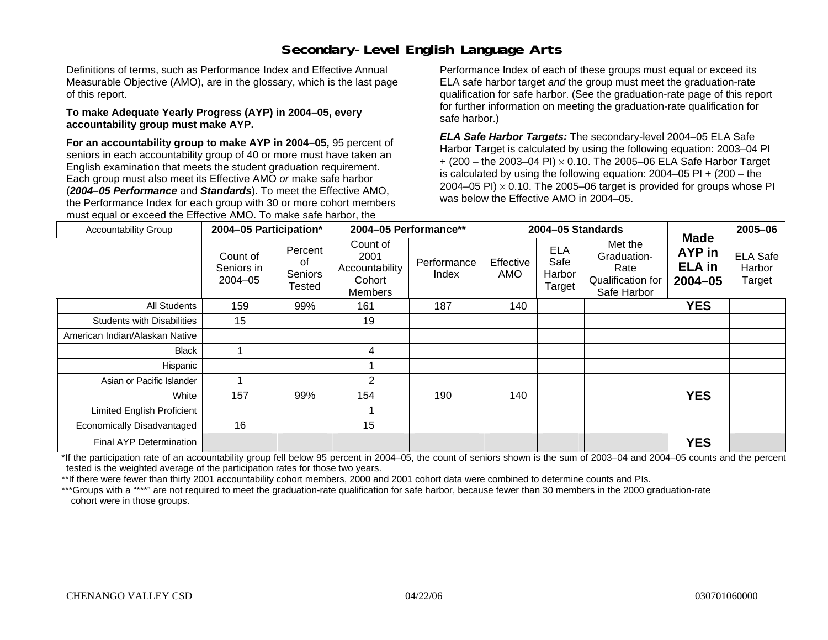# **Secondary-Level English Language Arts**

Definitions of terms, such as Performance Index and Effective Annual Measurable Objective (AMO), are in the glossary, which is the last page of this report.

#### **To make Adequate Yearly Progress (AYP) in 2004–05, every accountability group must make AYP.**

**For an accountability group to make AYP in 2004–05,** 95 percent of seniors in each accountability group of 40 or more must have taken an English examination that meets the student graduation requirement. Each group must also meet its Effective AMO *or* make safe harbor (*2004–05 Performance* and *Standards*). To meet the Effective AMO, the Performance Index for each group with 30 or more cohort members must equal or exceed the Effective AMO. To make safe harbor, the

Performance Index of each of these groups must equal or exceed its ELA safe harbor target *and* the group must meet the graduation-rate qualification for safe harbor. (See the graduation-rate page of this report for further information on meeting the graduation-rate qualification for safe harbor.)

*ELA Safe Harbor Targets:* The secondary-level 2004–05 ELA Safe Harbor Target is calculated by using the following equation: 2003–04 PI + (200 – the 2003–04 PI) <sup>×</sup> 0.10. The 2005–06 ELA Safe Harbor Target is calculated by using the following equation:  $2004-05$  PI  $+$  (200 – the 2004–05 PI)  $\times$  0.10. The 2005–06 target is provided for groups whose PI was below the Effective AMO in 2004–05.

| <b>Accountability Group</b>       | 2004-05 Participation*                |                                    |                                                         | 2004-05 Performance** | 2004-05 Standards |                                        | <b>Made</b>                                                        | 2005-06                            |                                     |
|-----------------------------------|---------------------------------------|------------------------------------|---------------------------------------------------------|-----------------------|-------------------|----------------------------------------|--------------------------------------------------------------------|------------------------------------|-------------------------------------|
|                                   | Count of<br>Seniors in<br>$2004 - 05$ | Percent<br>of<br>Seniors<br>Tested | Count of<br>2001<br>Accountability<br>Cohort<br>Members | Performance<br>Index  | Effective<br>AMO  | <b>ELA</b><br>Safe<br>Harbor<br>Target | Met the<br>Graduation-<br>Rate<br>Qualification for<br>Safe Harbor | AYP in<br><b>ELA</b> in<br>2004-05 | <b>ELA Safe</b><br>Harbor<br>Target |
| All Students                      | 159                                   | 99%                                | 161                                                     | 187                   | 140               |                                        |                                                                    | <b>YES</b>                         |                                     |
| <b>Students with Disabilities</b> | 15                                    |                                    | 19                                                      |                       |                   |                                        |                                                                    |                                    |                                     |
| American Indian/Alaskan Native    |                                       |                                    |                                                         |                       |                   |                                        |                                                                    |                                    |                                     |
| <b>Black</b>                      |                                       |                                    | 4                                                       |                       |                   |                                        |                                                                    |                                    |                                     |
| Hispanic                          |                                       |                                    |                                                         |                       |                   |                                        |                                                                    |                                    |                                     |
| Asian or Pacific Islander         |                                       |                                    | 2                                                       |                       |                   |                                        |                                                                    |                                    |                                     |
| White                             | 157                                   | 99%                                | 154                                                     | 190                   | 140               |                                        |                                                                    | <b>YES</b>                         |                                     |
| Limited English Proficient        |                                       |                                    |                                                         |                       |                   |                                        |                                                                    |                                    |                                     |
| Economically Disadvantaged        | 16                                    |                                    | 15                                                      |                       |                   |                                        |                                                                    |                                    |                                     |
| Final AYP Determination           |                                       |                                    |                                                         |                       |                   |                                        |                                                                    | <b>YES</b>                         |                                     |

\*If the participation rate of an accountability group fell below 95 percent in 2004–05, the count of seniors shown is the sum of 2003–04 and 2004–05 counts and the percent tested is the weighted average of the participation rates for those two years.

\*\*If there were fewer than thirty 2001 accountability cohort members, 2000 and 2001 cohort data were combined to determine counts and PIs.

\*\*\*Groups with a "\*\*\*" are not required to meet the graduation-rate qualification for safe harbor, because fewer than 30 members in the 2000 graduation-rate cohort were in those groups.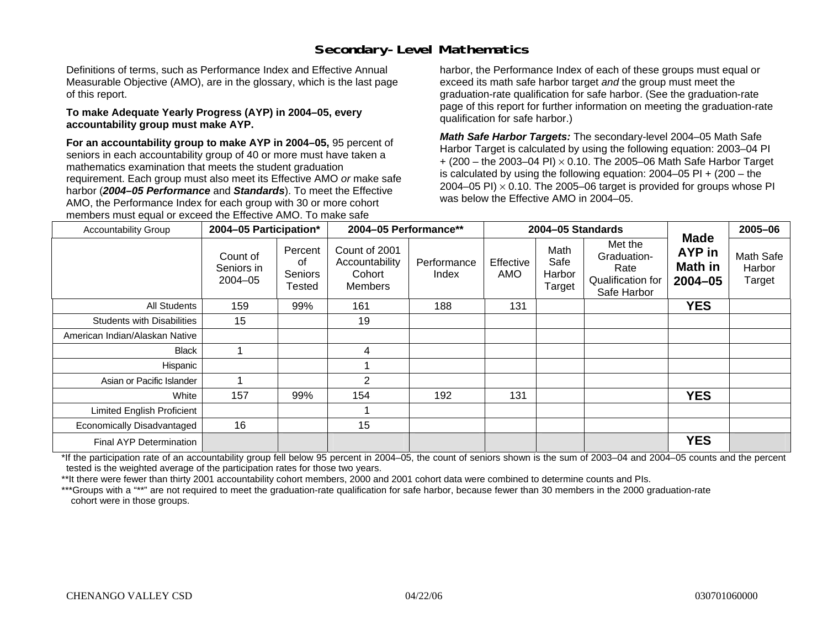# **Secondary-Level Mathematics**

Definitions of terms, such as Performance Index and Effective Annual Measurable Objective (AMO), are in the glossary, which is the last page of this report.

#### **To make Adequate Yearly Progress (AYP) in 2004–05, every accountability group must make AYP.**

**For an accountability group to make AYP in 2004–05,** 95 percent of seniors in each accountability group of 40 or more must have taken a mathematics examination that meets the student graduation requirement. Each group must also meet its Effective AMO *or* make safe harbor (*2004–05 Performance* and *Standards*). To meet the Effective AMO, the Performance Index for each group with 30 or more cohort members must equal or exceed the Effective AMO. To make safe

harbor, the Performance Index of each of these groups must equal or exceed its math safe harbor target *and* the group must meet the graduation-rate qualification for safe harbor. (See the graduation-rate page of this report for further information on meeting the graduation-rate qualification for safe harbor.)

*Math Safe Harbor Targets:* The secondary-level 2004–05 Math Safe Harbor Target is calculated by using the following equation: 2003–04 PI + (200 – the 2003–04 PI) <sup>×</sup> 0.10. The 2005–06 Math Safe Harbor Target is calculated by using the following equation: 2004–05 PI + (200 – the 2004–05 PI)  $\times$  0.10. The 2005–06 target is provided for groups whose PI was below the Effective AMO in 2004–05.

| <b>Accountability Group</b>       | 2004-05 Participation*                |                                    | 2004-05 Performance**                                       |                      |                  | 2004-05 Standards                |                                                                    | <b>Made</b>                      | 2005-06                       |
|-----------------------------------|---------------------------------------|------------------------------------|-------------------------------------------------------------|----------------------|------------------|----------------------------------|--------------------------------------------------------------------|----------------------------------|-------------------------------|
|                                   | Count of<br>Seniors in<br>$2004 - 05$ | Percent<br>οf<br>Seniors<br>Tested | Count of 2001<br>Accountability<br>Cohort<br><b>Members</b> | Performance<br>Index | Effective<br>AMO | Math<br>Safe<br>Harbor<br>Target | Met the<br>Graduation-<br>Rate<br>Qualification for<br>Safe Harbor | AYP in<br>Math in<br>$2004 - 05$ | Math Safe<br>Harbor<br>Target |
| All Students                      | 159                                   | 99%                                | 161                                                         | 188                  | 131              |                                  |                                                                    | <b>YES</b>                       |                               |
| <b>Students with Disabilities</b> | 15                                    |                                    | 19                                                          |                      |                  |                                  |                                                                    |                                  |                               |
| American Indian/Alaskan Native    |                                       |                                    |                                                             |                      |                  |                                  |                                                                    |                                  |                               |
| Black                             |                                       |                                    | 4                                                           |                      |                  |                                  |                                                                    |                                  |                               |
| Hispanic                          |                                       |                                    |                                                             |                      |                  |                                  |                                                                    |                                  |                               |
| Asian or Pacific Islander         |                                       |                                    | $\overline{2}$                                              |                      |                  |                                  |                                                                    |                                  |                               |
| White                             | 157                                   | 99%                                | 154                                                         | 192                  | 131              |                                  |                                                                    | <b>YES</b>                       |                               |
| <b>Limited English Proficient</b> |                                       |                                    |                                                             |                      |                  |                                  |                                                                    |                                  |                               |
| Economically Disadvantaged        | 16                                    |                                    | 15                                                          |                      |                  |                                  |                                                                    |                                  |                               |
| Final AYP Determination           |                                       |                                    |                                                             |                      |                  |                                  |                                                                    | <b>YES</b>                       |                               |

\*If the participation rate of an accountability group fell below 95 percent in 2004–05, the count of seniors shown is the sum of 2003–04 and 2004–05 counts and the percent tested is the weighted average of the participation rates for those two years.

\*\*It there were fewer than thirty 2001 accountability cohort members, 2000 and 2001 cohort data were combined to determine counts and PIs.

\*\*\*Groups with a "\*\*" are not required to meet the graduation-rate qualification for safe harbor, because fewer than 30 members in the 2000 graduation-rate cohort were in those groups.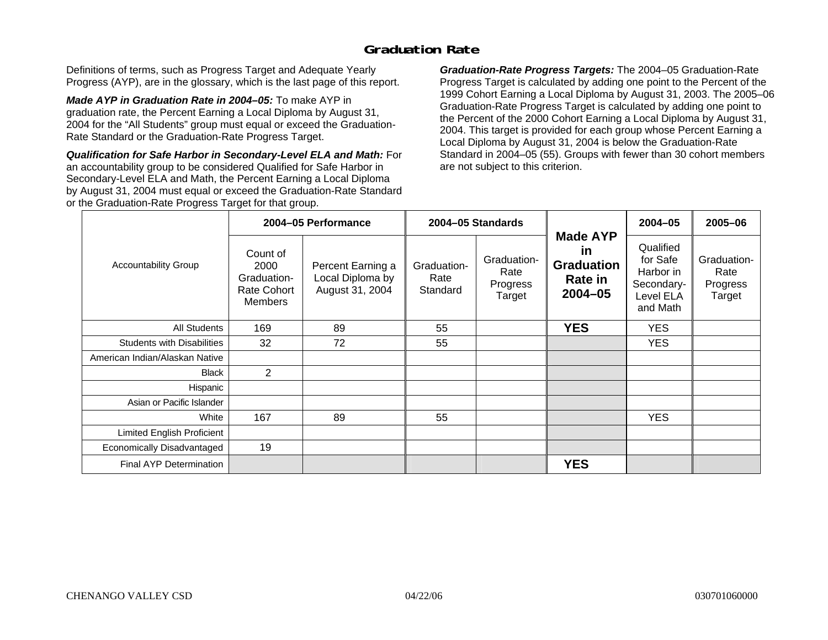### **Graduation Rate**

Definitions of terms, such as Progress Target and Adequate Yearly Progress (AYP), are in the glossary, which is the last page of this report.

*Made AYP in Graduation Rate in 2004–05:* To make AYP in graduation rate, the Percent Earning a Local Diploma by August 31, 2004 for the "All Students" group must equal or exceed the Graduation-Rate Standard or the Graduation-Rate Progress Target.

*Qualification for Safe Harbor in Secondary-Level ELA and Math:* For an accountability group to be considered Qualified for Safe Harbor in Secondary-Level ELA and Math, the Percent Earning a Local Diploma by August 31, 2004 must equal or exceed the Graduation-Rate Standard or the Graduation-Rate Progress Target for that group.

*Graduation-Rate Progress Targets:* The 2004–05 Graduation-Rate Progress Target is calculated by adding one point to the Percent of the 1999 Cohort Earning a Local Diploma by August 31, 2003. The 2005–06 Graduation-Rate Progress Target is calculated by adding one point to the Percent of the 2000 Cohort Earning a Local Diploma by August 31, 2004. This target is provided for each group whose Percent Earning a Local Diploma by August 31, 2004 is below the Graduation-Rate Standard in 2004–05 (55). Groups with fewer than 30 cohort members are not subject to this criterion.

|                                   |                                                                  | 2004-05 Performance                                      |                                 | 2004-05 Standards                         |                                                                                    | 2004-05                                                                   | 2005-06                                   |
|-----------------------------------|------------------------------------------------------------------|----------------------------------------------------------|---------------------------------|-------------------------------------------|------------------------------------------------------------------------------------|---------------------------------------------------------------------------|-------------------------------------------|
| <b>Accountability Group</b>       | Count of<br>2000<br>Graduation-<br>Rate Cohort<br><b>Members</b> | Percent Earning a<br>Local Diploma by<br>August 31, 2004 | Graduation-<br>Rate<br>Standard | Graduation-<br>Rate<br>Progress<br>Target | <b>Made AYP</b><br><u>in</u><br><b>Graduation</b><br><b>Rate in</b><br>$2004 - 05$ | Qualified<br>for Safe<br>Harbor in<br>Secondary-<br>Level ELA<br>and Math | Graduation-<br>Rate<br>Progress<br>Target |
| All Students                      | 169                                                              | 89                                                       | 55                              |                                           | <b>YES</b>                                                                         | <b>YES</b>                                                                |                                           |
| <b>Students with Disabilities</b> | 32                                                               | 72                                                       | 55                              |                                           |                                                                                    | <b>YES</b>                                                                |                                           |
| American Indian/Alaskan Native    |                                                                  |                                                          |                                 |                                           |                                                                                    |                                                                           |                                           |
| <b>Black</b>                      | $\overline{2}$                                                   |                                                          |                                 |                                           |                                                                                    |                                                                           |                                           |
| Hispanic                          |                                                                  |                                                          |                                 |                                           |                                                                                    |                                                                           |                                           |
| Asian or Pacific Islander         |                                                                  |                                                          |                                 |                                           |                                                                                    |                                                                           |                                           |
| White                             | 167                                                              | 89                                                       | 55                              |                                           |                                                                                    | <b>YES</b>                                                                |                                           |
| Limited English Proficient        |                                                                  |                                                          |                                 |                                           |                                                                                    |                                                                           |                                           |
| Economically Disadvantaged        | 19                                                               |                                                          |                                 |                                           |                                                                                    |                                                                           |                                           |
| <b>Final AYP Determination</b>    |                                                                  |                                                          |                                 |                                           | <b>YES</b>                                                                         |                                                                           |                                           |